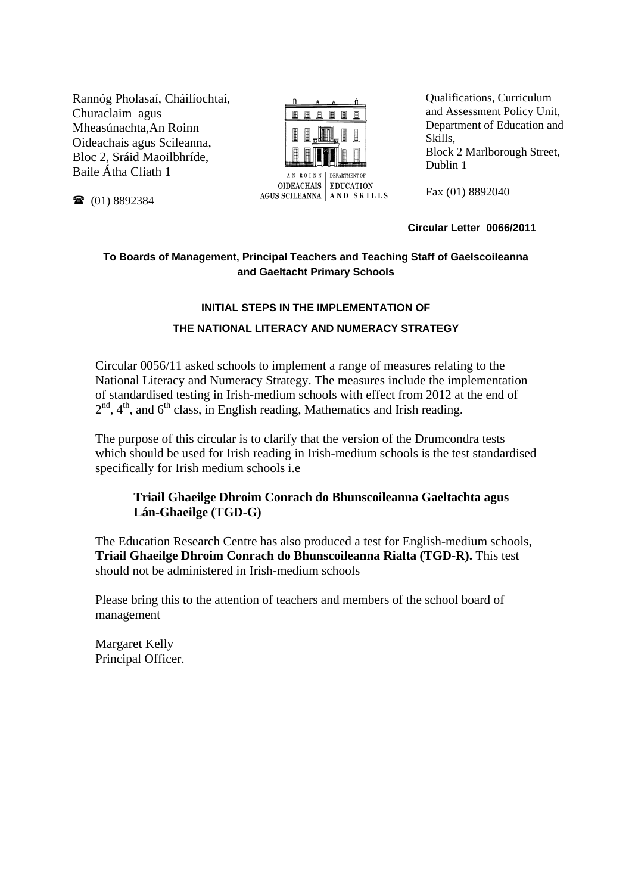Rannóg Pholasaí, Cháilíochtaí, Churaclaim agus Mheasúnachta,An Roinn Oideachais agus Scileanna, Bloc 2, Sráid Maoilbhríde, Baile Átha Cliath 1



AGUS SCILEANNA AND SKILLS

Qualifications, Curriculum and Assessment Policy Unit, Department of Education and Skills, Block 2 Marlborough Street, Dublin 1

Fax (01) 8892040

#### **Circular Letter 0066/2011**

# **To Boards of Management, Principal Teachers and Teaching Staff of Gaelscoileanna and Gaeltacht Primary Schools**

## **INITIAL STEPS IN THE IMPLEMENTATION OF**

## **THE NATIONAL LITERACY AND NUMERACY STRATEGY**

Circular 0056/11 asked schools to implement a range of measures relating to the National Literacy and Numeracy Strategy. The measures include the implementation of standardised testing in Irish-medium schools with effect from 2012 at the end of  $2<sup>nd</sup>$ ,  $4<sup>th</sup>$ , and  $6<sup>th</sup>$  class, in English reading, Mathematics and Irish reading.

The purpose of this circular is to clarify that the version of the Drumcondra tests which should be used for Irish reading in Irish-medium schools is the test standardised specifically for Irish medium schools i.e

# **Triail Ghaeilge Dhroim Conrach do Bhunscoileanna Gaeltachta agus Lán-Ghaeilge (TGD-G)**

The Education Research Centre has also produced a test for English-medium schools, **Triail Ghaeilge Dhroim Conrach do Bhunscoileanna Rialta (TGD-R).** This test should not be administered in Irish-medium schools

Please bring this to the attention of teachers and members of the school board of management

Margaret Kelly Principal Officer.

(01) 8892384